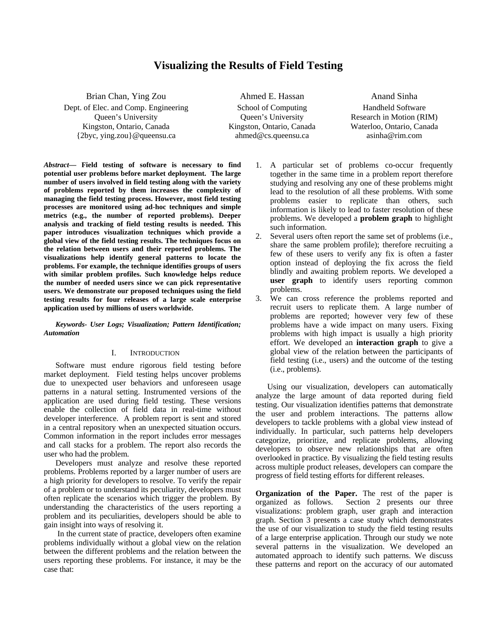# **Visualizing the Results of Field Testing**

Brian Chan, Ying Zou Dept. of Elec. and Comp. Engineering Queen's University Kingston, Ontario, Canada {2byc, ying.zou}@queensu.ca

Ahmed E. Hassan School of Computing Queen's University Kingston, Ontario, Canada ahmed@cs.queensu.ca

Anand Sinha Handheld Software Research in Motion (RIM) Waterloo, Ontario, Canada asinha@rim.com

*Abstract***— Field testing of software is necessary to find potential user problems before market deployment. The large number of users involved in field testing along with the variety of problems reported by them increases the complexity of managing the field testing process. However, most field testing processes are monitored using ad-hoc techniques and simple metrics (e.g., the number of reported problems). Deeper analysis and tracking of field testing results is needed. This paper introduces visualization techniques which provide a global view of the field testing results. The techniques focus on the relation between users and their reported problems. The visualizations help identify general patterns to locate the problems. For example, the technique identifies groups of users with similar problem profiles. Such knowledge helps reduce the number of needed users since we can pick representative users. We demonstrate our proposed techniques using the field testing results for four releases of a large scale enterprise application used by millions of users worldwide.** 

*Keywords- User Logs; Visualization; Pattern Identification; Automation* 

# I. INTRODUCTION

Software must endure rigorous field testing before market deployment. Field testing helps uncover problems due to unexpected user behaviors and unforeseen usage patterns in a natural setting. Instrumented versions of the application are used during field testing. These versions enable the collection of field data in real-time without developer interference. A problem report is sent and stored in a central repository when an unexpected situation occurs. Common information in the report includes error messages and call stacks for a problem. The report also records the user who had the problem.

Developers must analyze and resolve these reported problems. Problems reported by a larger number of users are a high priority for developers to resolve. To verify the repair of a problem or to understand its peculiarity, developers must often replicate the scenarios which trigger the problem. By understanding the characteristics of the users reporting a problem and its peculiarities, developers should be able to gain insight into ways of resolving it.

 In the current state of practice, developers often examine problems individually without a global view on the relation between the different problems and the relation between the users reporting these problems. For instance, it may be the case that:

- 1. A particular set of problems co-occur frequently together in the same time in a problem report therefore studying and resolving any one of these problems might lead to the resolution of all these problems. With some problems easier to replicate than others, such information is likely to lead to faster resolution of these problems. We developed a **problem graph** to highlight such information.
- 2. Several users often report the same set of problems (i.e., share the same problem profile); therefore recruiting a few of these users to verify any fix is often a faster option instead of deploying the fix across the field blindly and awaiting problem reports. We developed a **user graph** to identify users reporting common problems.
- 3. We can cross reference the problems reported and recruit users to replicate them. A large number of problems are reported; however very few of these problems have a wide impact on many users. Fixing problems with high impact is usually a high priority effort. We developed an **interaction graph** to give a global view of the relation between the participants of field testing (i.e., users) and the outcome of the testing (i.e., problems).

Using our visualization, developers can automatically analyze the large amount of data reported during field testing. Our visualization identifies patterns that demonstrate the user and problem interactions. The patterns allow developers to tackle problems with a global view instead of individually. In particular, such patterns help developers categorize, prioritize, and replicate problems, allowing developers to observe new relationships that are often overlooked in practice. By visualizing the field testing results across multiple product releases, developers can compare the progress of field testing efforts for different releases.

**Organization of the Paper.** The rest of the paper is organized as follows. Section 2 presents our three visualizations: problem graph, user graph and interaction graph. Section 3 presents a case study which demonstrates the use of our visualization to study the field testing results of a large enterprise application. Through our study we note several patterns in the visualization. We developed an automated approach to identify such patterns. We discuss these patterns and report on the accuracy of our automated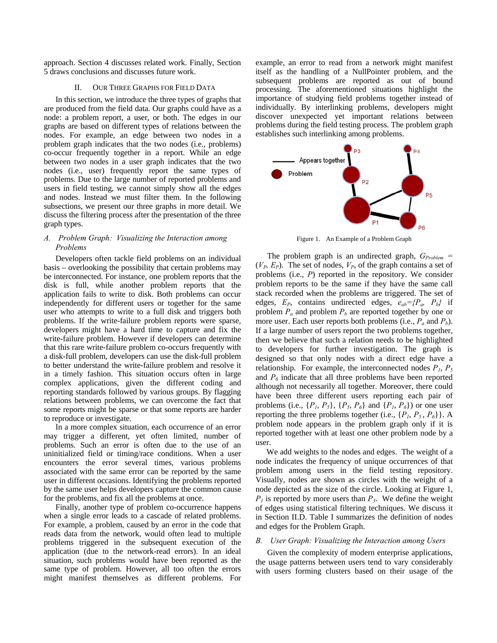approach. Section 4 discusses related work. Finally, Section 5 draws conclusions and discusses future work.

#### II. OUR THREE GRAPHS FOR FIELD DATA

In this section, we introduce the three types of graphs that are produced from the field data. Our graphs could have as a node: a problem report, a user, or both. The edges in our graphs are based on different types of relations between the nodes. For example, an edge between two nodes in a problem graph indicates that the two nodes (i.e., problems) co-occur frequently together in a report. While an edge between two nodes in a user graph indicates that the two nodes (i.e., user) frequently report the same types of problems. Due to the large number of reported problems and users in field testing, we cannot simply show all the edges and nodes. Instead we must filter them. In the following subsections, we present our three graphs in more detail. We discuss the filtering process after the presentation of the three graph types.

# *A. Problem Graph: Visualizing the Interaction among Problems*

Developers often tackle field problems on an individual basis – overlooking the possibility that certain problems may be interconnected. For instance, one problem reports that the disk is full, while another problem reports that the application fails to write to disk. Both problems can occur independently for different users or together for the same user who attempts to write to a full disk and triggers both problems. If the write-failure problem reports were sparse, developers might have a hard time to capture and fix the write-failure problem. However if developers can determine that this rare write-failure problem co-occurs frequently with a disk-full problem, developers can use the disk-full problem to better understand the write-failure problem and resolve it in a timely fashion. This situation occurs often in large complex applications, given the different coding and reporting standards followed by various groups. By flagging relations between problems, we can overcome the fact that some reports might be sparse or that some reports are harder to reproduce or investigate.

In a more complex situation, each occurrence of an error may trigger a different, yet often limited, number of problems. Such an error is often due to the use of an uninitialized field or timing/race conditions. When a user encounters the error several times, various problems associated with the same error can be reported by the same user in different occasions. Identifying the problems reported by the same user helps developers capture the common cause for the problems, and fix all the problems at once.

Finally, another type of problem co-occurrence happens when a single error leads to a cascade of related problems. For example, a problem, caused by an error in the code that reads data from the network, would often lead to multiple problems triggered in the subsequent execution of the application (due to the network-read errors). In an ideal situation, such problems would have been reported as the same type of problem. However, all too often the errors might manifest themselves as different problems. For example, an error to read from a network might manifest itself as the handling of a NullPointer problem, and the subsequent problems are reported as out of bound processing. The aforementioned situations highlight the importance of studying field problems together instead of individually. By interlinking problems, developers might discover unexpected yet important relations between problems during the field testing process. The problem graph establishes such interlinking among problems.



Figure 1. An Example of a Problem Graph

The problem graph is an undirected graph,  $G_{Problem}$  =  $(V_P, E_P)$ . The set of nodes,  $V_P$ , of the graph contains a set of problems (i.e., *P*) reported in the repository. We consider problem reports to be the same if they have the same call stack recorded when the problems are triggered. The set of edges,  $E_P$ , contains undirected edges,  $e_{ab} = \langle P_a, P_b \rangle$  if problem  $P_a$  and problem  $P_b$  are reported together by one or more user. Each user reports both problems (i.e.,  $P_a$  and  $P_b$ ). If a large number of users report the two problems together, then we believe that such a relation needs to be highlighted to developers for further investigation. The graph is designed so that only nodes with a direct edge have a relationship. For example, the interconnected nodes  $P_1$ ,  $P_5$ and  $P_6$  indicate that all three problems have been reported although not necessarily all together. Moreover, there could have been three different users reporting each pair of problems (i.e.,  $\{P_1, P_5\}$ ,  $\{P_5, P_6\}$  and  $\{P_1, P_6\}$ ) or one user reporting the three problems together (i.e.,  $\{P_1, P_5, P_6\}$ ). A problem node appears in the problem graph only if it is reported together with at least one other problem node by a user.

We add weights to the nodes and edges. The weight of a node indicates the frequency of unique occurrences of that problem among users in the field testing repository. Visually, nodes are shown as circles with the weight of a node depicted as the size of the circle. Looking at Figure 1,  $P_1$  is reported by more users than  $P_3$ . We define the weight of edges using statistical filtering techniques. We discuss it in Section II.D. Table I summarizes the definition of nodes and edges for the Problem Graph.

### *B. User Graph: Visualizing the Interaction among Users*

Given the complexity of modern enterprise applications, the usage patterns between users tend to vary considerably with users forming clusters based on their usage of the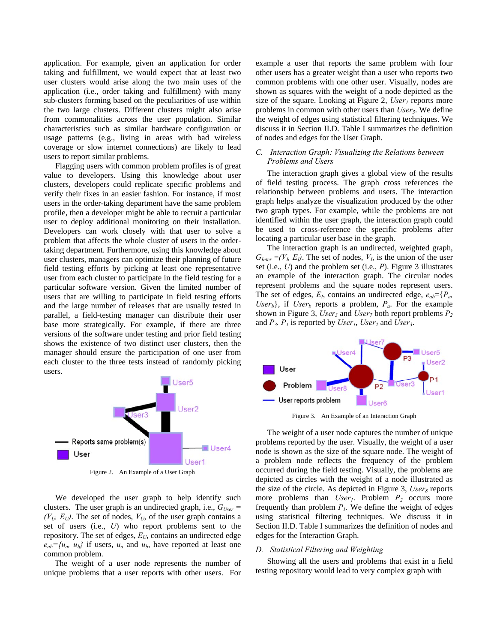application. For example, given an application for order taking and fulfillment, we would expect that at least two user clusters would arise along the two main uses of the application (i.e., order taking and fulfillment) with many sub-clusters forming based on the peculiarities of use within the two large clusters. Different clusters might also arise from commonalities across the user population. Similar characteristics such as similar hardware configuration or usage patterns (e.g., living in areas with bad wireless coverage or slow internet connections) are likely to lead users to report similar problems.

Flagging users with common problem profiles is of great value to developers. Using this knowledge about user clusters, developers could replicate specific problems and verify their fixes in an easier fashion. For instance, if most users in the order-taking department have the same problem profile, then a developer might be able to recruit a particular user to deploy additional monitoring on their installation. Developers can work closely with that user to solve a problem that affects the whole cluster of users in the ordertaking department. Furthermore, using this knowledge about user clusters, managers can optimize their planning of future field testing efforts by picking at least one representative user from each cluster to participate in the field testing for a particular software version. Given the limited number of users that are willing to participate in field testing efforts and the large number of releases that are usually tested in parallel, a field-testing manager can distribute their user base more strategically. For example, if there are three versions of the software under testing and prior field testing shows the existence of two distinct user clusters, then the manager should ensure the participation of one user from each cluster to the three tests instead of randomly picking users.



Figure 2. An Example of a User Graph

We developed the user graph to help identify such clusters. The user graph is an undirected graph, i.e.,  $G_{User}$  =  $(V_U, E_U)$ . The set of nodes,  $V_U$ , of the user graph contains a set of users (i.e., *U*) who report problems sent to the repository. The set of edges,  $E_U$ , contains an undirected edge  $e_{ab}$ ={ $u_a$ ,  $u_b$ } if users,  $u_a$  and  $u_b$ , have reported at least one common problem.

The weight of a user node represents the number of unique problems that a user reports with other users. For example a user that reports the same problem with four other users has a greater weight than a user who reports two common problems with one other user. Visually, nodes are shown as squares with the weight of a node depicted as the size of the square. Looking at Figure 2,  $User_1$  reports more problems in common with other users than *User<sub>3</sub>*. We define the weight of edges using statistical filtering techniques. We discuss it in Section II.D. Table I summarizes the definition of nodes and edges for the User Graph.

# *C. Interaction Graph: Visualizing the Relations between Problems and Users*

The interaction graph gives a global view of the results of field testing process. The graph cross references the relationship between problems and users. The interaction graph helps analyze the visualization produced by the other two graph types. For example, while the problems are not identified within the user graph, the interaction graph could be used to cross-reference the specific problems after locating a particular user base in the graph.

The interaction graph is an undirected, weighted graph,  $G_{Inter} = (V_L, E_l)$ . The set of nodes,  $V_L$ , is the union of the user set (i.e., *U*) and the problem set (i.e., *P*). Figure 3 illustrates an example of the interaction graph. The circular nodes represent problems and the square nodes represent users. The set of edges,  $E_I$ , contains an undirected edge,  $e_{ab} = {P_a}$ *User<sub>b</sub>*}, if *User<sub>b</sub>* reports a problem,  $P_a$ . For the example shown in Figure 3, *User<sub>3</sub>* and *User<sub>7</sub>* both report problems  $P_2$ and  $P_3$ .  $P_1$  is reported by *User<sub>1</sub>*, *User<sub>2</sub>* and *User<sub>3</sub>*.



Figure 3. An Example of an Interaction Graph

The weight of a user node captures the number of unique problems reported by the user. Visually, the weight of a user node is shown as the size of the square node. The weight of a problem node reflects the frequency of the problem occurred during the field testing. Visually, the problems are depicted as circles with the weight of a node illustrated as the size of the circle. As depicted in Figure 3,  $User_8$  reports more problems than *User<sub>1</sub>*. Problem  $P_2$  occurs more frequently than problem  $P<sub>l</sub>$ . We define the weight of edges using statistical filtering techniques. We discuss it in Section II.D. Table I summarizes the definition of nodes and edges for the Interaction Graph.

### *D. Statistical Filtering and Weighting*

Showing all the users and problems that exist in a field testing repository would lead to very complex graph with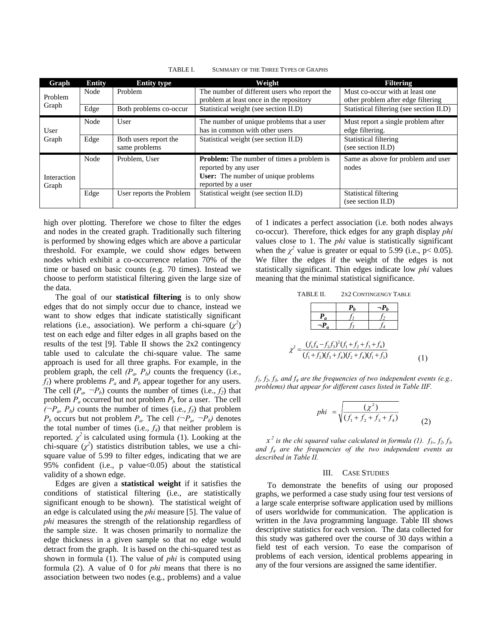| Graph                | <b>Entity</b> | <b>Entity type</b>                     | Weight                                                                                                                                       | <b>Filtering</b>                                                      |
|----------------------|---------------|----------------------------------------|----------------------------------------------------------------------------------------------------------------------------------------------|-----------------------------------------------------------------------|
| Problem<br>Graph     | Node          | Problem                                | The number of different users who report the<br>problem at least once in the repository                                                      | Must co-occur with at least one<br>other problem after edge filtering |
|                      | Edge          | Both problems co-occur                 | Statistical weight (see section II.D)                                                                                                        | Statistical filtering (see section II.D)                              |
| User<br>Graph        | Node          | User                                   | The number of unique problems that a user<br>has in common with other users                                                                  | Must report a single problem after<br>edge filtering.                 |
|                      | Edge          | Both users report the<br>same problems | Statistical weight (see section II.D)                                                                                                        | <b>Statistical filtering</b><br>(see section II.D)                    |
| Interaction<br>Graph | Node          | Problem. User                          | <b>Problem:</b> The number of times a problem is<br>reported by any user<br><b>User:</b> The number of unique problems<br>reported by a user | Same as above for problem and user<br>nodes                           |
|                      | Edge          | User reports the Problem               | Statistical weight (see section II.D)                                                                                                        | <b>Statistical filtering</b><br>(see section II.D)                    |

TABLE I. SUMMARY OF THE THREE TYPES OF GRAPHS

high over plotting. Therefore we chose to filter the edges and nodes in the created graph. Traditionally such filtering is performed by showing edges which are above a particular threshold. For example, we could show edges between nodes which exhibit a co-occurrence relation 70% of the time or based on basic counts (e.g. 70 times). Instead we choose to perform statistical filtering given the large size of the data.

The goal of our **statistical filtering** is to only show edges that do not simply occur due to chance, instead we want to show edges that indicate statistically significant relations (i.e., association). We perform a chi-square  $(\chi^2)$ test on each edge and filter edges in all graphs based on the results of the test [9]. Table II shows the 2x2 contingency table used to calculate the chi-square value. The same approach is used for all three graphs. For example, in the problem graph, the cell  $(P_a, P_b)$  counts the frequency (i.e.,  $f_1$ ) where problems  $P_a$  and  $P_b$  appear together for any users. The cell  $(P_a, \neg P_b)$  counts the number of times (i.e.,  $f_2$ ) that problem  $P_a$  occurred but not problem  $P_b$  for a user. The cell  $(\neg P_a, P_b)$  counts the number of times (i.e., *f<sub>3</sub>*) that problem  $P_b$  occurs but not problem  $P_a$ . The cell  $(\neg P_a, \neg P_b)$  denotes the total number of times  $(i.e., f_4)$  that neither problem is reported.  $\chi^2$  is calculated using formula (1). Looking at the chi-square  $(\chi^2)$  statistics distribution tables, we use a chisquare value of 5.99 to filter edges, indicating that we are 95% confident (i.e., p value<0.05) about the statistical validity of a shown edge.

Edges are given a **statistical weight** if it satisfies the conditions of statistical filtering (i.e., are statistically significant enough to be shown). The statistical weight of an edge is calculated using the *phi* measure [5]. The value of *phi* measures the strength of the relationship regardless of the sample size. It was chosen primarily to normalize the edge thickness in a given sample so that no edge would detract from the graph. It is based on the chi-squared test as shown in formula (1). The value of *phi* is computed using formula (2). A value of 0 for *phi* means that there is no association between two nodes (e.g., problems) and a value of 1 indicates a perfect association (i.e. both nodes always co-occur). Therefore, thick edges for any graph display *phi* values close to 1. The *phi* value is statistically significant when the  $\chi^2$  value is greater or equal to 5.99 (i.e., p< 0.05). We filter the edges if the weight of the edges is not statistically significant. Thin edges indicate low *phi* values meaning that the minimal statistical significance.

TABLE II. 2X2 CONTINGENGY TABLE

|  |  | $=\frac{(f_1f_4-f_2f_3)^2(f_1+f_2+f_3+f_4)}{(f_1+f_2)(f_3+f_4)(f_2+f_4)(f_1+f_3)}$ |  |  |  |  |  |
|--|--|------------------------------------------------------------------------------------|--|--|--|--|--|
|  |  |                                                                                    |  |  |  |  |  |
|  |  |                                                                                    |  |  |  |  |  |

 $f_1, f_2, f_3$ , and  $f_4$  are the frequencies of two independent events (e.g., *problems) that appear for different cases listed in Table IIF.* 

$$
phi = \sqrt{\frac{(\chi^2)}{(f_1 + f_2 + f_3 + f_4)}}
$$
 (2)

 $x^2$  is the chi squared value calculated in formula (1).  $f_1, f_2, f_3$ , *and f4 are the frequencies of the two independent events as described in Table II.*

#### III. CASE STUDIES

To demonstrate the benefits of using our proposed graphs, we performed a case study using four test versions of a large scale enterprise software application used by millions of users worldwide for communication. The application is written in the Java programming language. Table III shows descriptive statistics for each version. The data collected for this study was gathered over the course of 30 days within a field test of each version. To ease the comparison of problems of each version, identical problems appearing in any of the four versions are assigned the same identifier.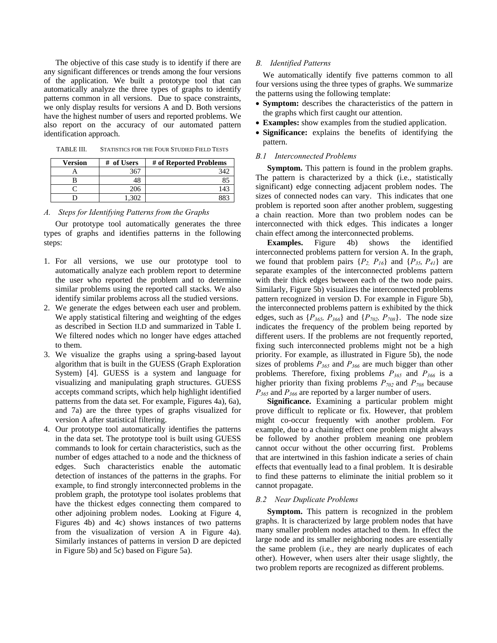The objective of this case study is to identify if there are any significant differences or trends among the four versions of the application. We built a prototype tool that can automatically analyze the three types of graphs to identify patterns common in all versions. Due to space constraints, we only display results for versions A and D. Both versions have the highest number of users and reported problems. We also report on the accuracy of our automated pattern identification approach.

| <b>Version</b> | #<br>of Users | # of Reported Problems |
|----------------|---------------|------------------------|
|                | 367           | 342                    |
|                |               | 81                     |
|                | 206           | 143                    |
|                |               |                        |

TABLE III. STATISTICS FOR THE FOUR STUDIED FIELD TESTS

### *A. Steps for Identifying Patterns from the Graphs*

Our prototype tool automatically generates the three types of graphs and identifies patterns in the following steps:

- 1. For all versions, we use our prototype tool to automatically analyze each problem report to determine the user who reported the problem and to determine similar problems using the reported call stacks. We also identify similar problems across all the studied versions.
- 2. We generate the edges between each user and problem. We apply statistical filtering and weighting of the edges as described in Section II.D and summarized in Table I. We filtered nodes which no longer have edges attached to them.
- 3. We visualize the graphs using a spring-based layout algorithm that is built in the GUESS (Graph Exploration System) [4]. GUESS is a system and language for visualizing and manipulating graph structures. GUESS accepts command scripts, which help highlight identified patterns from the data set. For example, Figures 4a), 6a), and 7a) are the three types of graphs visualized for version A after statistical filtering.
- 4. Our prototype tool automatically identifies the patterns in the data set. The prototype tool is built using GUESS commands to look for certain characteristics, such as the number of edges attached to a node and the thickness of edges. Such characteristics enable the automatic detection of instances of the patterns in the graphs. For example, to find strongly interconnected problems in the problem graph, the prototype tool isolates problems that have the thickest edges connecting them compared to other adjoining problem nodes. Looking at Figure 4, Figures 4b) and 4c) shows instances of two patterns from the visualization of version A in Figure 4a). Similarly instances of patterns in version D are depicted in Figure 5b) and 5c) based on Figure 5a).

### *B. Identified Patterns*

We automatically identify five patterns common to all four versions using the three types of graphs. We summarize the patterns using the following template:

- **Symptom:** describes the characteristics of the pattern in the graphs which first caught our attention.
- **Examples:** show examples from the studied application.
- **Significance:** explains the benefits of identifying the pattern.

### *B.1 Interconnected Problems*

**Symptom.** This pattern is found in the problem graphs. The pattern is characterized by a thick (i.e., statistically significant) edge connecting adjacent problem nodes. The sizes of connected nodes can vary. This indicates that one problem is reported soon after another problem, suggesting a chain reaction. More than two problem nodes can be interconnected with thick edges. This indicates a longer chain effect among the interconnected problems.

**Examples.** Figure 4b) shows the identified interconnected problems pattern for version A. In the graph, we found that problem pairs  $\{P_2, P_{16}\}\$  and  $\{P_{35}, P_{41}\}\$  are separate examples of the interconnected problems pattern with their thick edges between each of the two node pairs. Similarly, Figure 5b) visualizes the interconnected problems pattern recognized in version D. For example in Figure 5b), the interconnected problems pattern is exhibited by the thick edges, such as  $\{P_{365}, P_{366}\}$  and  $\{P_{702}, P_{708}\}$ . The node size indicates the frequency of the problem being reported by different users. If the problems are not frequently reported, fixing such interconnected problems might not be a high priority. For example, as illustrated in Figure 5b), the node sizes of problems *P365* and *P366* are much bigger than other problems*.* Therefore, fixing problems *P365* and *P366* is a higher priority than fixing problems  $P_{702}$  and  $P_{708}$  because *P365* and *P366* are reported by a larger number of users.

**Significance.** Examining a particular problem might prove difficult to replicate or fix. However, that problem might co-occur frequently with another problem. For example, due to a chaining effect one problem might always be followed by another problem meaning one problem cannot occur without the other occurring first. Problems that are intertwined in this fashion indicate a series of chain effects that eventually lead to a final problem. It is desirable to find these patterns to eliminate the initial problem so it cannot propagate.

### *B.2 Near Duplicate Problems*

**Symptom.** This pattern is recognized in the problem graphs. It is characterized by large problem nodes that have many smaller problem nodes attached to them. In effect the large node and its smaller neighboring nodes are essentially the same problem (i.e., they are nearly duplicates of each other). However, when users alter their usage slightly, the two problem reports are recognized as different problems.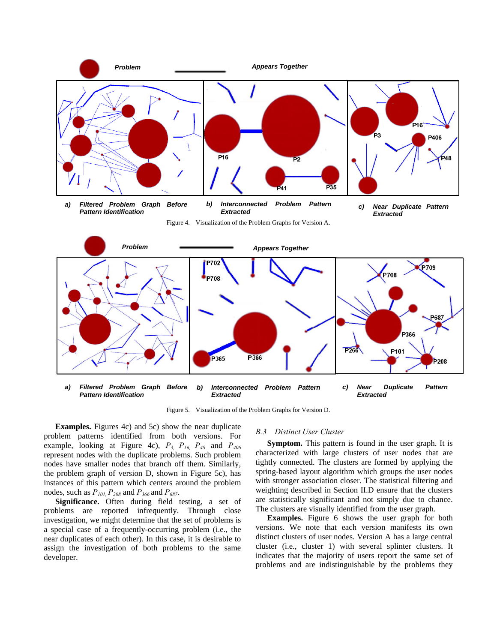

Figure 5. Visualization of the Problem Graphs for Version D.

**Examples.** Figures 4c) and 5c) show the near duplicate problem patterns identified from both versions. For example, looking at Figure 4c), *P3, P16, P48* and *P406* represent nodes with the duplicate problems. Such problem nodes have smaller nodes that branch off them. Similarly, the problem graph of version D, shown in Figure 5c), has instances of this pattern which centers around the problem nodes, such as  $P_{101}$ ,  $P_{208}$  and  $P_{366}$  and  $P_{687}$ .

**Significance.** Often during field testing, a set of problems are reported infrequently. Through close investigation, we might determine that the set of problems is a special case of a frequently-occurring problem (i.e., the near duplicates of each other). In this case, it is desirable to assign the investigation of both problems to the same developer.

### *B.3 Distinct User Cluster*

**Symptom.** This pattern is found in the user graph. It is characterized with large clusters of user nodes that are tightly connected. The clusters are formed by applying the spring-based layout algorithm which groups the user nodes with stronger association closer. The statistical filtering and weighting described in Section II.D ensure that the clusters are statistically significant and not simply due to chance. The clusters are visually identified from the user graph.

**Examples.** Figure 6 shows the user graph for both versions. We note that each version manifests its own distinct clusters of user nodes. Version A has a large central cluster (i.e., cluster 1) with several splinter clusters. It indicates that the majority of users report the same set of problems and are indistinguishable by the problems they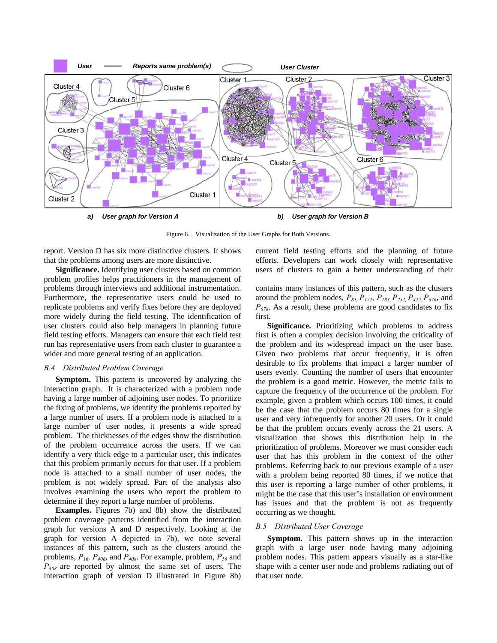

*a) User graph for Version A b) User graph for Version B* 

Figure 6. Visualization of the User Graphs for Both Versions.

report. Version D has six more distinctive clusters. It shows that the problems among users are more distinctive.

**Significance.** Identifying user clusters based on common problem profiles helps practitioners in the management of problems through interviews and additional instrumentation. Furthermore, the representative users could be used to replicate problems and verify fixes before they are deployed more widely during the field testing. The identification of user clusters could also help managers in planning future field testing efforts. Managers can ensure that each field test run has representative users from each cluster to guarantee a wider and more general testing of an application.

### *B.4 Distributed Problem Coverage*

**Symptom.** This pattern is uncovered by analyzing the interaction graph. It is characterized with a problem node having a large number of adjoining user nodes. To prioritize the fixing of problems, we identify the problems reported by a large number of users. If a problem node is attached to a large number of user nodes, it presents a wide spread problem. The thicknesses of the edges show the distribution of the problem occurrence across the users. If we can identify a very thick edge to a particular user, this indicates that this problem primarily occurs for that user. If a problem node is attached to a small number of user nodes, the problem is not widely spread. Part of the analysis also involves examining the users who report the problem to determine if they report a large number of problems.

**Examples.** Figures 7b) and 8b) show the distributed problem coverage patterns identified from the interaction graph for versions A and D respectively. Looking at the graph for version A depicted in 7b), we note several instances of this pattern, such as the clusters around the problems, *P16, P406*, and *P408*. For example, problem, *P16* and *P408* are reported by almost the same set of users. The interaction graph of version D illustrated in Figure 8b) current field testing efforts and the planning of future efforts. Developers can work closely with representative users of clusters to gain a better understanding of their

contains many instances of this pattern, such as the clusters around the problem nodes,  $P_{81}$ ,  $P_{172}$ ,  $P_{183}$ ,  $P_{232}$ ,  $P_{422}$ ,  $P_{676}$ , and *P678*. As a result, these problems are good candidates to fix first.

**Significance.** Prioritizing which problems to address first is often a complex decision involving the criticality of the problem and its widespread impact on the user base. Given two problems that occur frequently, it is often desirable to fix problems that impact a larger number of users evenly. Counting the number of users that encounter the problem is a good metric. However, the metric fails to capture the frequency of the occurrence of the problem. For example, given a problem which occurs 100 times, it could be the case that the problem occurs 80 times for a single user and very infrequently for another 20 users. Or it could be that the problem occurs evenly across the 21 users. A visualization that shows this distribution help in the prioritization of problems. Moreover we must consider each user that has this problem in the context of the other problems. Referring back to our previous example of a user with a problem being reported 80 times, if we notice that this user is reporting a large number of other problems, it might be the case that this user's installation or environment has issues and that the problem is not as frequently occurring as we thought.

### *B.5 Distributed User Coverage*

**Symptom.** This pattern shows up in the interaction graph with a large user node having many adjoining problem nodes. This pattern appears visually as a star-like shape with a center user node and problems radiating out of that user node.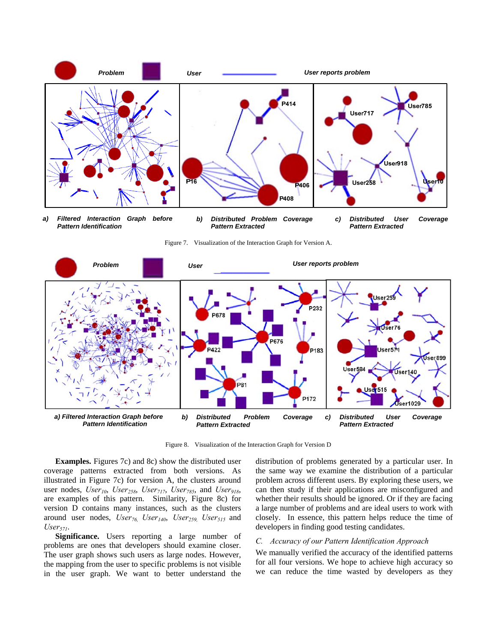

Figure 7. Visualization of the Interaction Graph for Version A.



Figure 8. Visualization of the Interaction Graph for Version D

**Examples.** Figures 7c) and 8c) show the distributed user coverage patterns extracted from both versions. As illustrated in Figure 7c) for version A, the clusters around user nodes, *User<sub>10</sub>*, *User<sub>258</sub>*, *User<sub>717</sub>*, *User<sub>785</sub>*, and *User<sub>918</sub>*, are examples of this pattern. Similarity, Figure 8c) for version D contains many instances, such as the clusters around user nodes, *User<sub>76,</sub> User<sub>140</sub>, User<sub>259,</sub> User<sub>515</sub> and User571*.

**Significance.** Users reporting a large number of problems are ones that developers should examine closer. The user graph shows such users as large nodes. However, the mapping from the user to specific problems is not visible in the user graph. We want to better understand the distribution of problems generated by a particular user. In the same way we examine the distribution of a particular problem across different users. By exploring these users, we can then study if their applications are misconfigured and whether their results should be ignored. Or if they are facing a large number of problems and are ideal users to work with closely. In essence, this pattern helps reduce the time of developers in finding good testing candidates.

# *C. Accuracy of our Pattern Identification Approach*

We manually verified the accuracy of the identified patterns for all four versions. We hope to achieve high accuracy so we can reduce the time wasted by developers as they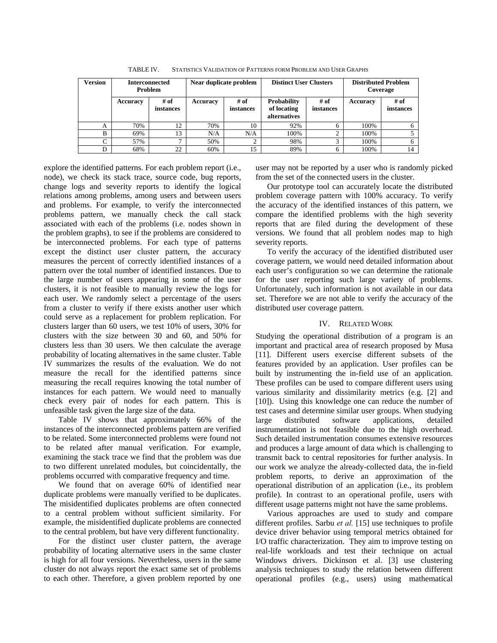| <b>Version</b>           | <b>Interconnected</b><br><b>Problem</b> |                   | Near duplicate problem |                   | <b>Distinct User Clusters</b>                     |                   | <b>Distributed Problem</b><br>Coverage |                   |
|--------------------------|-----------------------------------------|-------------------|------------------------|-------------------|---------------------------------------------------|-------------------|----------------------------------------|-------------------|
|                          | <b>Accuracy</b>                         | # of<br>instances | Accuracy               | # of<br>instances | Probability<br>of locating<br><i>alternatives</i> | # of<br>instances | Accuracy                               | # of<br>instances |
| A                        | 70%                                     | 12                | 70%                    | 10                | 92%                                               |                   | 100%                                   |                   |
| B                        | 69%                                     | 13                | N/A                    | N/A               | 100%                                              |                   | 100%                                   |                   |
| $\overline{\phantom{0}}$ | 57%                                     | -                 | 50%                    |                   | 98%                                               |                   | 100%                                   |                   |
|                          | 68%                                     | 22                | 60%                    | 15                | 89%                                               |                   | 100%                                   | 14                |

TABLE IV. STATISTICS VALIDATION OF PATTERNS FORM PROBLEM AND USER GRAPHS

explore the identified patterns. For each problem report (i.e., node), we check its stack trace, source code, bug reports, change logs and severity reports to identify the logical relations among problems, among users and between users and problems. For example, to verify the interconnected problems pattern, we manually check the call stack associated with each of the problems (i.e. nodes shown in the problem graphs), to see if the problems are considered to be interconnected problems. For each type of patterns except the distinct user cluster pattern, the accuracy measures the percent of correctly identified instances of a pattern over the total number of identified instances. Due to the large number of users appearing in some of the user clusters, it is not feasible to manually review the logs for each user. We randomly select a percentage of the users from a cluster to verify if there exists another user which could serve as a replacement for problem replication. For clusters larger than 60 users, we test 10% of users, 30% for clusters with the size between 30 and 60, and 50% for clusters less than 30 users. We then calculate the average probability of locating alternatives in the same cluster. Table IV summarizes the results of the evaluation. We do not measure the recall for the identified patterns since measuring the recall requires knowing the total number of instances for each pattern. We would need to manually check every pair of nodes for each pattern. This is unfeasible task given the large size of the data.

Table IV shows that approximately 66% of the instances of the interconnected problems pattern are verified to be related. Some interconnected problems were found not to be related after manual verification. For example, examining the stack trace we find that the problem was due to two different unrelated modules, but coincidentally, the problems occurred with comparative frequency and time.

We found that on average 60% of identified near duplicate problems were manually verified to be duplicates. The misidentified duplicates problems are often connected to a central problem without sufficient similarity. For example, the misidentified duplicate problems are connected to the central problem, but have very different functionality.

For the distinct user cluster pattern, the average probability of locating alternative users in the same cluster is high for all four versions. Nevertheless, users in the same cluster do not always report the exact same set of problems to each other. Therefore, a given problem reported by one user may not be reported by a user who is randomly picked from the set of the connected users in the cluster.

Our prototype tool can accurately locate the distributed problem coverage pattern with 100% accuracy. To verify the accuracy of the identified instances of this pattern, we compare the identified problems with the high severity reports that are filed during the development of these versions. We found that all problem nodes map to high severity reports.

To verify the accuracy of the identified distributed user coverage pattern, we would need detailed information about each user's configuration so we can determine the rationale for the user reporting such large variety of problems. Unfortunately, such information is not available in our data set. Therefore we are not able to verify the accuracy of the distributed user coverage pattern.

# IV. RELATED WORK

Studying the operational distribution of a program is an important and practical area of research proposed by Musa [11]. Different users exercise different subsets of the features provided by an application. User profiles can be built by instrumenting the in-field use of an application. These profiles can be used to compare different users using various similarity and dissimilarity metrics (e.g. [2] and [10]). Using this knowledge one can reduce the number of test cases and determine similar user groups. When studying large distributed software applications, detailed instrumentation is not feasible due to the high overhead. Such detailed instrumentation consumes extensive resources and produces a large amount of data which is challenging to transmit back to central repositories for further analysis. In our work we analyze the already-collected data, the in-field problem reports, to derive an approximation of the operational distribution of an application (i.e., its problem profile). In contrast to an operational profile, users with different usage patterns might not have the same problems.

Various approaches are used to study and compare different profiles. Sarbu *et al.* [15] use techniques to profile device driver behavior using temporal metrics obtained for I/O traffic characterization. They aim to improve testing on real-life workloads and test their technique on actual Windows drivers. Dickinson et al. [3] use clustering analysis techniques to study the relation between different operational profiles (e.g., users) using mathematical